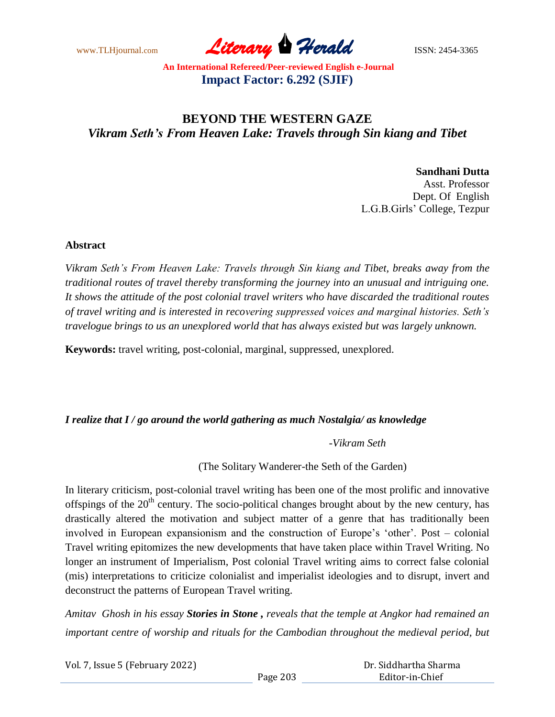www.TLHjournal.com *Literary Herald*ISSN: 2454-3365

# **BEYOND THE WESTERN GAZE** *Vikram Seth's From Heaven Lake: Travels through Sin kiang and Tibet*

**Sandhani Dutta** Asst. Professor Dept. Of English L.G.B.Girls' College, Tezpur

#### **Abstract**

*Vikram Seth"s From Heaven Lake: Travels through Sin kiang and Tibet, breaks away from the traditional routes of travel thereby transforming the journey into an unusual and intriguing one. It shows the attitude of the post colonial travel writers who have discarded the traditional routes of travel writing and is interested in recovering suppressed voices and marginal histories. Seth"s travelogue brings to us an unexplored world that has always existed but was largely unknown.*

**Keywords:** travel writing, post-colonial, marginal, suppressed, unexplored.

#### *I realize that I / go around the world gathering as much Nostalgia/ as knowledge*

 *-Vikram Seth*

(The Solitary Wanderer-the Seth of the Garden)

In literary criticism, post-colonial travel writing has been one of the most prolific and innovative offspings of the 20<sup>th</sup> century. The socio-political changes brought about by the new century, has drastically altered the motivation and subject matter of a genre that has traditionally been involved in European expansionism and the construction of Europe's 'other'. Post – colonial Travel writing epitomizes the new developments that have taken place within Travel Writing. No longer an instrument of Imperialism, Post colonial Travel writing aims to correct false colonial (mis) interpretations to criticize colonialist and imperialist ideologies and to disrupt, invert and deconstruct the patterns of European Travel writing.

*Amitav Ghosh in his essay Stories in Stone , reveals that the temple at Angkor had remained an important centre of worship and rituals for the Cambodian throughout the medieval period, but* 

| Vol. 7, Issue 5 (February 2022) |          | Dr. Siddhartha Sharma |
|---------------------------------|----------|-----------------------|
|                                 | Page 203 | Editor-in-Chief       |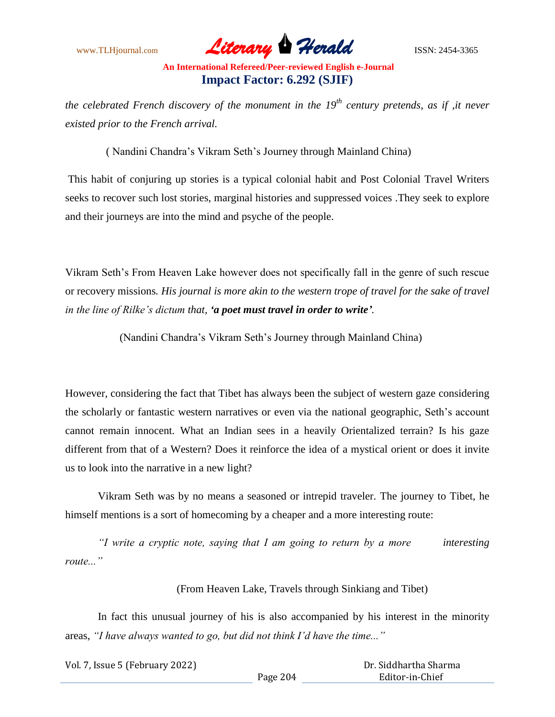www.TLHjournal.com *Literary Herald*ISSN: 2454-3365

*the celebrated French discovery of the monument in the 19th century pretends, as if ,it never existed prior to the French arrival.*

( Nandini Chandra's Vikram Seth's Journey through Mainland China)

This habit of conjuring up stories is a typical colonial habit and Post Colonial Travel Writers seeks to recover such lost stories, marginal histories and suppressed voices .They seek to explore and their journeys are into the mind and psyche of the people.

Vikram Seth's From Heaven Lake however does not specifically fall in the genre of such rescue or recovery missions*. His journal is more akin to the western trope of travel for the sake of travel in the line of Rilke"s dictum that, 'a poet must travel in order to write'.*

(Nandini Chandra's Vikram Seth's Journey through Mainland China)

However, considering the fact that Tibet has always been the subject of western gaze considering the scholarly or fantastic western narratives or even via the national geographic, Seth's account cannot remain innocent. What an Indian sees in a heavily Orientalized terrain? Is his gaze different from that of a Western? Does it reinforce the idea of a mystical orient or does it invite us to look into the narrative in a new light?

Vikram Seth was by no means a seasoned or intrepid traveler. The journey to Tibet, he himself mentions is a sort of homecoming by a cheaper and a more interesting route:

*"I write a cryptic note, saying that I am going to return by a more interesting route..."*

(From Heaven Lake, Travels through Sinkiang and Tibet)

In fact this unusual journey of his is also accompanied by his interest in the minority areas, *"I have always wanted to go, but did not think I"d have the time..."*

| Vol. 7, Issue 5 (February 2022) |          | Dr. Siddhartha Sharma |
|---------------------------------|----------|-----------------------|
|                                 | Page 204 | Editor-in-Chief       |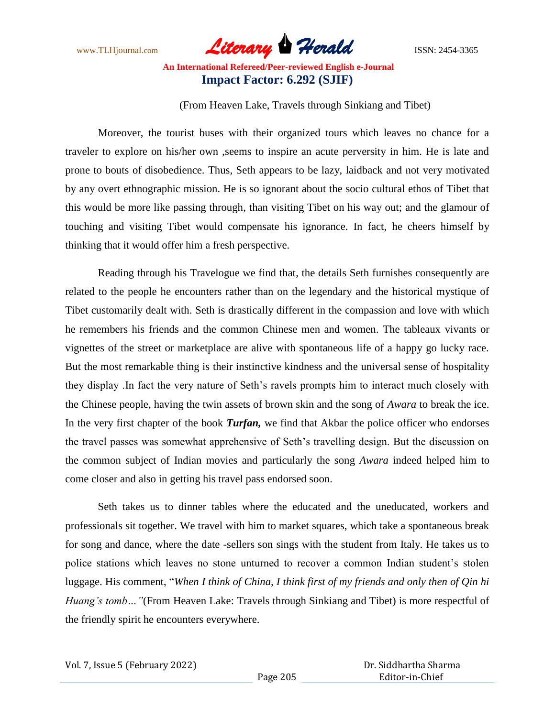www.TLHjournal.com *Literary Herald*ISSN: 2454-3365

(From Heaven Lake, Travels through Sinkiang and Tibet)

Moreover, the tourist buses with their organized tours which leaves no chance for a traveler to explore on his/her own ,seems to inspire an acute perversity in him. He is late and prone to bouts of disobedience. Thus, Seth appears to be lazy, laidback and not very motivated by any overt ethnographic mission. He is so ignorant about the socio cultural ethos of Tibet that this would be more like passing through, than visiting Tibet on his way out; and the glamour of touching and visiting Tibet would compensate his ignorance. In fact, he cheers himself by thinking that it would offer him a fresh perspective.

Reading through his Travelogue we find that, the details Seth furnishes consequently are related to the people he encounters rather than on the legendary and the historical mystique of Tibet customarily dealt with. Seth is drastically different in the compassion and love with which he remembers his friends and the common Chinese men and women. The tableaux vivants or vignettes of the street or marketplace are alive with spontaneous life of a happy go lucky race. But the most remarkable thing is their instinctive kindness and the universal sense of hospitality they display .In fact the very nature of Seth's ravels prompts him to interact much closely with the Chinese people, having the twin assets of brown skin and the song of *Awara* to break the ice. In the very first chapter of the book *Turfan,* we find that Akbar the police officer who endorses the travel passes was somewhat apprehensive of Seth's travelling design. But the discussion on the common subject of Indian movies and particularly the song *Awara* indeed helped him to come closer and also in getting his travel pass endorsed soon.

Seth takes us to dinner tables where the educated and the uneducated, workers and professionals sit together. We travel with him to market squares, which take a spontaneous break for song and dance, where the date -sellers son sings with the student from Italy. He takes us to police stations which leaves no stone unturned to recover a common Indian student's stolen luggage. His comment, "*When I think of China, I think first of my friends and only then of Qin hi Huang's tomb...* "(From Heaven Lake: Travels through Sinkiang and Tibet) is more respectful of the friendly spirit he encounters everywhere.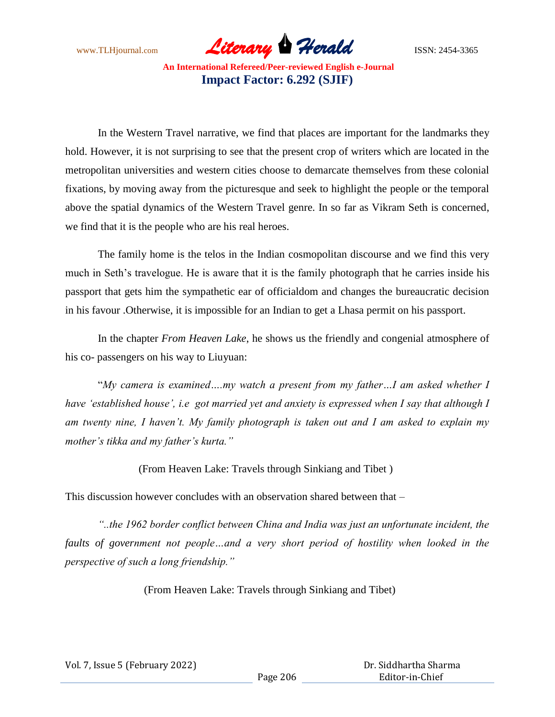www.TLHjournal.com *Literary Herald*ISSN: 2454-3365

In the Western Travel narrative, we find that places are important for the landmarks they hold. However, it is not surprising to see that the present crop of writers which are located in the metropolitan universities and western cities choose to demarcate themselves from these colonial fixations, by moving away from the picturesque and seek to highlight the people or the temporal above the spatial dynamics of the Western Travel genre. In so far as Vikram Seth is concerned, we find that it is the people who are his real heroes.

The family home is the telos in the Indian cosmopolitan discourse and we find this very much in Seth's travelogue. He is aware that it is the family photograph that he carries inside his passport that gets him the sympathetic ear of officialdom and changes the bureaucratic decision in his favour .Otherwise, it is impossible for an Indian to get a Lhasa permit on his passport.

In the chapter *From Heaven Lake*, he shows us the friendly and congenial atmosphere of his co- passengers on his way to Liuyuan:

"*My camera is examined….my watch a present from my father…I am asked whether I have "established house", i.e got married yet and anxiety is expressed when I say that although I am twenty nine, I haven"t. My family photograph is taken out and I am asked to explain my mother"s tikka and my father"s kurta."*

(From Heaven Lake: Travels through Sinkiang and Tibet )

This discussion however concludes with an observation shared between that –

*"..the 1962 border conflict between China and India was just an unfortunate incident, the faults of government not people…and a very short period of hostility when looked in the perspective of such a long friendship."*

(From Heaven Lake: Travels through Sinkiang and Tibet)

| Vol. 7, Issue 5 (February 2022) |  |
|---------------------------------|--|
|---------------------------------|--|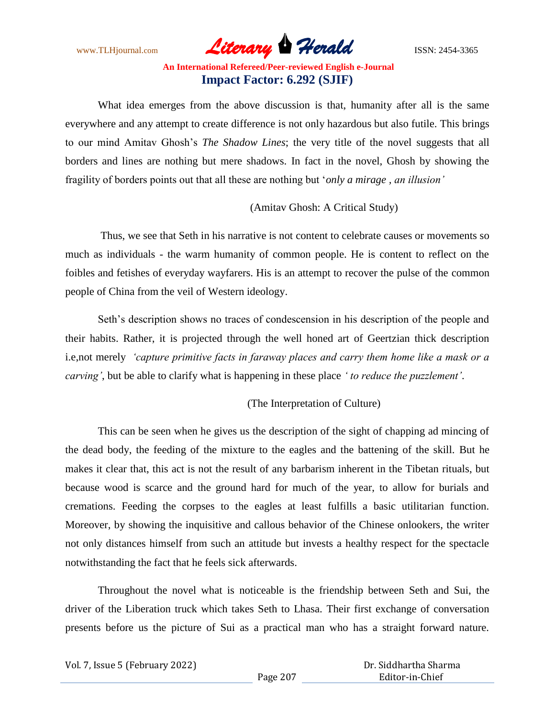www.TLHjournal.com *Literary Herald*ISSN: 2454-3365

What idea emerges from the above discussion is that, humanity after all is the same everywhere and any attempt to create difference is not only hazardous but also futile. This brings to our mind Amitav Ghosh's *The Shadow Lines*; the very title of the novel suggests that all borders and lines are nothing but mere shadows. In fact in the novel, Ghosh by showing the fragility of borders points out that all these are nothing but '*only a mirage , an illusion"*

(Amitav Ghosh: A Critical Study)

Thus, we see that Seth in his narrative is not content to celebrate causes or movements so much as individuals - the warm humanity of common people. He is content to reflect on the foibles and fetishes of everyday wayfarers. His is an attempt to recover the pulse of the common people of China from the veil of Western ideology.

Seth's description shows no traces of condescension in his description of the people and their habits. Rather, it is projected through the well honed art of Geertzian thick description i.e,not merely *"capture primitive facts in faraway places and carry them home like a mask or a carving"*, but be able to clarify what is happening in these place *" to reduce the puzzlement"*.

(The Interpretation of Culture)

This can be seen when he gives us the description of the sight of chapping ad mincing of the dead body, the feeding of the mixture to the eagles and the battening of the skill. But he makes it clear that, this act is not the result of any barbarism inherent in the Tibetan rituals, but because wood is scarce and the ground hard for much of the year, to allow for burials and cremations. Feeding the corpses to the eagles at least fulfills a basic utilitarian function. Moreover, by showing the inquisitive and callous behavior of the Chinese onlookers, the writer not only distances himself from such an attitude but invests a healthy respect for the spectacle notwithstanding the fact that he feels sick afterwards.

Throughout the novel what is noticeable is the friendship between Seth and Sui, the driver of the Liberation truck which takes Seth to Lhasa. Their first exchange of conversation presents before us the picture of Sui as a practical man who has a straight forward nature.

| Vol. 7, Issue 5 (February 2022) |          | Dr. Siddhartha Sharma |
|---------------------------------|----------|-----------------------|
|                                 | Page 207 | Editor-in-Chief       |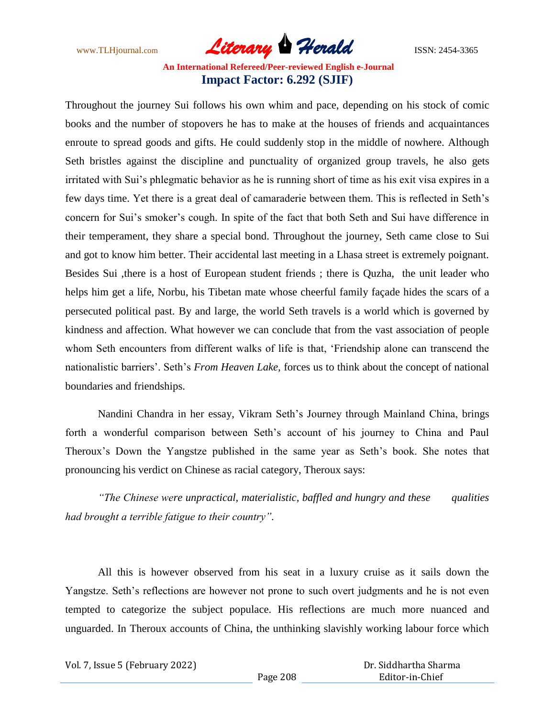www.TLHjournal.com *Literary Herald*ISSN: 2454-3365

Throughout the journey Sui follows his own whim and pace, depending on his stock of comic books and the number of stopovers he has to make at the houses of friends and acquaintances enroute to spread goods and gifts. He could suddenly stop in the middle of nowhere. Although Seth bristles against the discipline and punctuality of organized group travels, he also gets irritated with Sui's phlegmatic behavior as he is running short of time as his exit visa expires in a few days time. Yet there is a great deal of camaraderie between them. This is reflected in Seth's concern for Sui's smoker's cough. In spite of the fact that both Seth and Sui have difference in their temperament, they share a special bond. Throughout the journey, Seth came close to Sui and got to know him better. Their accidental last meeting in a Lhasa street is extremely poignant. Besides Sui ,there is a host of European student friends ; there is Quzha, the unit leader who helps him get a life, Norbu, his Tibetan mate whose cheerful family façade hides the scars of a persecuted political past. By and large, the world Seth travels is a world which is governed by kindness and affection. What however we can conclude that from the vast association of people whom Seth encounters from different walks of life is that, 'Friendship alone can transcend the nationalistic barriers'. Seth's *From Heaven Lake,* forces us to think about the concept of national boundaries and friendships.

Nandini Chandra in her essay, Vikram Seth's Journey through Mainland China, brings forth a wonderful comparison between Seth's account of his journey to China and Paul Theroux's Down the Yangstze published in the same year as Seth's book. She notes that pronouncing his verdict on Chinese as racial category, Theroux says:

*"The Chinese were unpractical, materialistic, baffled and hungry and these qualities had brought a terrible fatigue to their country".*

All this is however observed from his seat in a luxury cruise as it sails down the Yangstze. Seth's reflections are however not prone to such overt judgments and he is not even tempted to categorize the subject populace. His reflections are much more nuanced and unguarded. In Theroux accounts of China, the unthinking slavishly working labour force which

| Vol. 7, Issue 5 (February 2022) |          | Dr. Siddhartha Sharma |  |
|---------------------------------|----------|-----------------------|--|
|                                 | Page 208 | Editor-in-Chief       |  |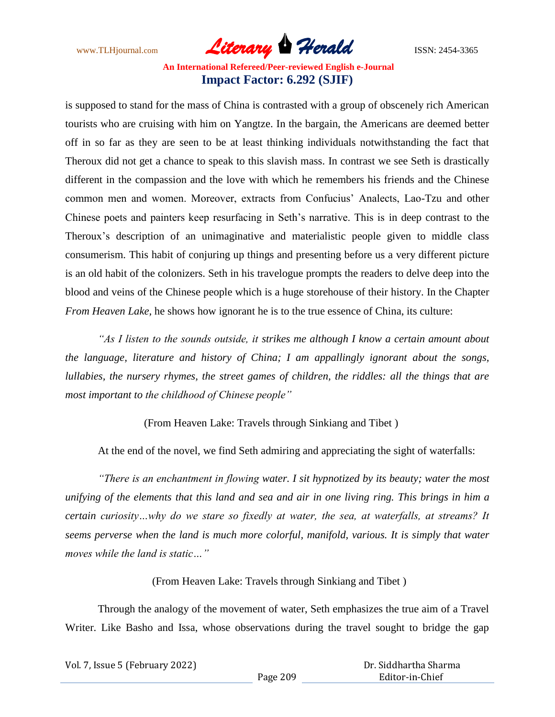www.TLHjournal.com *Literary Herald*ISSN: 2454-3365

is supposed to stand for the mass of China is contrasted with a group of obscenely rich American tourists who are cruising with him on Yangtze. In the bargain, the Americans are deemed better off in so far as they are seen to be at least thinking individuals notwithstanding the fact that Theroux did not get a chance to speak to this slavish mass. In contrast we see Seth is drastically different in the compassion and the love with which he remembers his friends and the Chinese common men and women. Moreover, extracts from Confucius' Analects, Lao-Tzu and other Chinese poets and painters keep resurfacing in Seth's narrative. This is in deep contrast to the Theroux's description of an unimaginative and materialistic people given to middle class consumerism. This habit of conjuring up things and presenting before us a very different picture is an old habit of the colonizers. Seth in his travelogue prompts the readers to delve deep into the blood and veins of the Chinese people which is a huge storehouse of their history. In the Chapter *From Heaven Lake,* he shows how ignorant he is to the true essence of China, its culture:

*"As I listen to the sounds outside, it strikes me although I know a certain amount about the language, literature and history of China; I am appallingly ignorant about the songs, lullabies, the nursery rhymes, the street games of children, the riddles: all the things that are most important to the childhood of Chinese people"*

(From Heaven Lake: Travels through Sinkiang and Tibet )

At the end of the novel, we find Seth admiring and appreciating the sight of waterfalls:

*"There is an enchantment in flowing water. I sit hypnotized by its beauty; water the most unifying of the elements that this land and sea and air in one living ring. This brings in him a certain curiosity…why do we stare so fixedly at water, the sea, at waterfalls, at streams? It seems perverse when the land is much more colorful, manifold, various. It is simply that water moves while the land is static…"*

(From Heaven Lake: Travels through Sinkiang and Tibet )

Through the analogy of the movement of water, Seth emphasizes the true aim of a Travel Writer. Like Basho and Issa, whose observations during the travel sought to bridge the gap

| Vol. 7, Issue 5 (February 2022) |          | Dr. Siddhartha Sharma |
|---------------------------------|----------|-----------------------|
|                                 | Page 209 | Editor-in-Chief       |